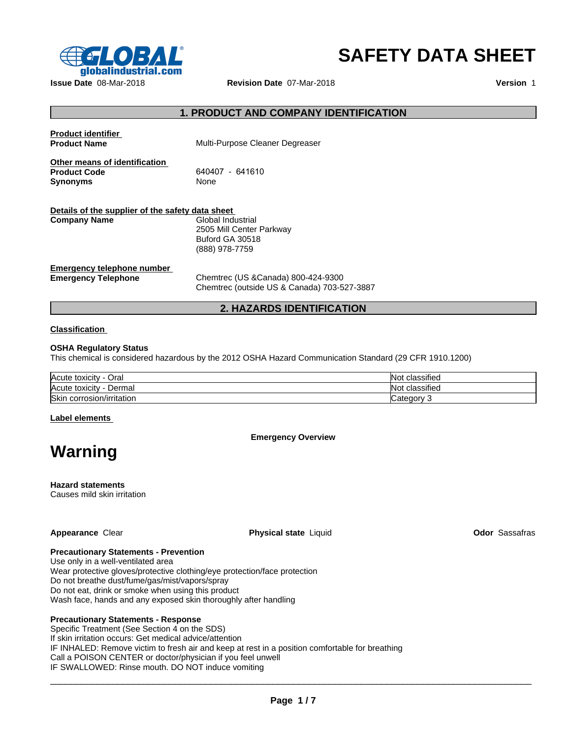

# **SAFETY DATA SHEET**

| $\epsilon$ $\sim$ $\epsilon$ $\sim$ $\epsilon$ $\sim$<br>qlobalindustrial.com |                                              | <b>SAFETY DATA SHEET</b> |
|-------------------------------------------------------------------------------|----------------------------------------------|--------------------------|
| Issue Date 08-Mar-2018                                                        | Revision Date 07-Mar-2018                    | Version 1                |
|                                                                               |                                              |                          |
|                                                                               | <b>1. PRODUCT AND COMPANY IDENTIFICATION</b> |                          |
| <b>Product identifier</b><br><b>Product Name</b>                              | Multi-Purpose Cleaner Degreaser              |                          |
| Other means of identification<br><b>Product Code</b>                          | 640407 - 641610                              |                          |
| <b>Synonyms</b>                                                               | None                                         |                          |
| Details of the supplier of the safety data sheet                              |                                              |                          |
| <b>Company Name</b>                                                           | Global Industrial                            |                          |
|                                                                               | 2505 Mill Center Parkway<br>Buford GA 30518  |                          |
|                                                                               | (888) 978-7759                               |                          |
| <b>Emergency telephone number</b><br><b>Emergency Telephone</b>               | Chemtrec (US & Canada) 800-424-9300          |                          |
|                                                                               | Chemtrec (outside US & Canada) 703-527-3887  |                          |
|                                                                               | 2. HAZARDS IDENTIFICATION                    |                          |
| <b>Classification</b>                                                         |                                              |                          |
| <b>OSHA Requiatory Status</b>                                                 |                                              |                          |

# **Classification**

# **OSHA Regulatory Status**

This chemical is considered hazardous by the 2012 OSHA Hazard Communication Standard (29 CFR 1910.1200)

| Acute toxicity<br>-<br>Oral  | $\cdots$<br>classified<br>Nοι        |
|------------------------------|--------------------------------------|
| Acute toxicity<br>Dermal     | $\cdots$<br>classified<br><b>NOL</b> |
| Skin<br>corrosion/irritation | ∵ategory: َ                          |

# **Label elements**

**Warning**

**Emergency Overview**

**Hazard statements** Causes mild skin irritation

**Appearance** Clear **Physical state** Liquid **Odor** Sassafras

# **Precautionary Statements - Prevention**

Use only in a well-ventilated area Wear protective gloves/protective clothing/eye protection/face protection Do not breathe dust/fume/gas/mist/vapors/spray Do not eat, drink or smoke when using this product Wash face, hands and any exposed skin thoroughly after handling

# **Precautionary Statements - Response**

Specific Treatment (See Section 4 on the SDS) If skin irritation occurs: Get medical advice/attention IF INHALED: Remove victim to fresh air and keep at rest in a position comfortable for breathing Call a POISON CENTER or doctor/physician if you feel unwell IF SWALLOWED: Rinse mouth. DO NOT induce vomiting

 $\Box \rightarrow \Box \rightarrow \Box$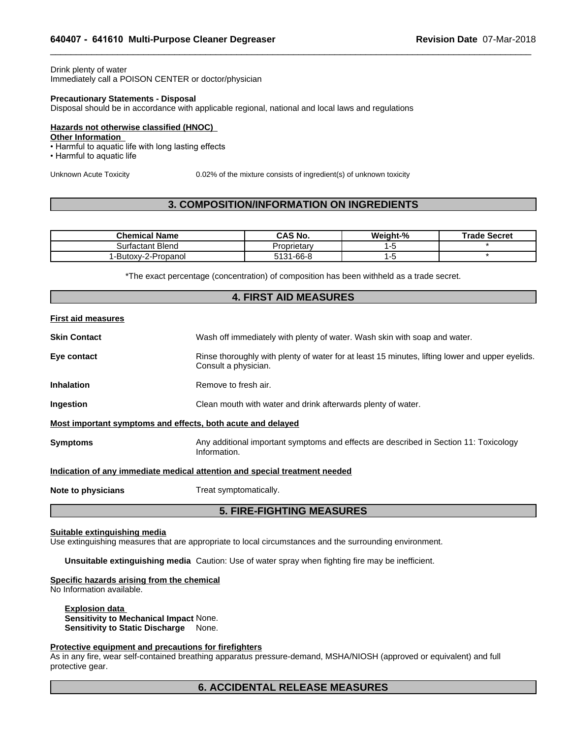# Drink plenty of water Immediately call a POISON CENTER or doctor/physician

# **Precautionary Statements - Disposal**

# **Hazards not otherwise classified (HNOC)**

## **Other Information**

- Harmful to aquatic life with long lasting effects
- Harmful to aquatic life

 $\_$  ,  $\_$  ,  $\_$  ,  $\_$  ,  $\_$  ,  $\_$  ,  $\_$  ,  $\_$  ,  $\_$  ,  $\_$  ,  $\_$  ,  $\_$  ,  $\_$  ,  $\_$  ,  $\_$  ,  $\_$  ,  $\_$  ,  $\_$  ,  $\_$  ,  $\_$  ,  $\_$  ,  $\_$  ,  $\_$  ,  $\_$  ,  $\_$  ,  $\_$  ,  $\_$  ,  $\_$  ,  $\_$  ,  $\_$  ,  $\_$  ,  $\_$  ,  $\_$  ,  $\_$  ,  $\_$  ,  $\_$  ,  $\_$  ,

| Drink plenty of water                                                                                                                            |                                                                           |          |                     |
|--------------------------------------------------------------------------------------------------------------------------------------------------|---------------------------------------------------------------------------|----------|---------------------|
| Immediately call a POISON CENTER or doctor/physician                                                                                             |                                                                           |          |                     |
| <b>Precautionary Statements - Disposal</b><br>Disposal should be in accordance with applicable regional, national and local laws and regulations |                                                                           |          |                     |
| <b>Hazards not otherwise classified (HNOC)</b><br><b>Other Information</b>                                                                       |                                                                           |          |                     |
| • Harmful to aquatic life with long lasting effects<br>• Harmful to aquatic life                                                                 |                                                                           |          |                     |
| Unknown Acute Toxicity                                                                                                                           | 0.02% of the mixture consists of ingredient(s) of unknown toxicity        |          |                     |
|                                                                                                                                                  |                                                                           |          |                     |
|                                                                                                                                                  | <b>3. COMPOSITION/INFORMATION ON INGREDIENTS</b>                          |          |                     |
|                                                                                                                                                  |                                                                           |          |                     |
| <b>Chemical Name</b>                                                                                                                             | <b>CAS No.</b>                                                            | Weight-% | <b>Trade Secret</b> |
| <b>Surfactant Blend</b>                                                                                                                          | Proprietary                                                               | $1 - 5$  |                     |
| 1-Butoxy-2-Propanol                                                                                                                              | 5131-66-8                                                                 | $1 - 5$  | $\star$             |
| *The exact percentage (concentration) of composition has been withheld as a trade secret.                                                        | <b>4. FIRST AID MEASURES</b>                                              |          |                     |
|                                                                                                                                                  |                                                                           |          |                     |
| <b>First aid measures</b>                                                                                                                        |                                                                           |          |                     |
| <b>Skin Contact</b>                                                                                                                              | Wash off immediately with plenty of water. Wash skin with soap and water. |          |                     |

# **First aid measures**

| <b>Skin Contact</b>                                         | Wash off immediately with plenty of water. Wash skin with soap and water.                                               |  |  |
|-------------------------------------------------------------|-------------------------------------------------------------------------------------------------------------------------|--|--|
| Eye contact                                                 | Rinse thoroughly with plenty of water for at least 15 minutes, lifting lower and upper eyelids.<br>Consult a physician. |  |  |
| <b>Inhalation</b>                                           | Remove to fresh air.                                                                                                    |  |  |
| Ingestion                                                   | Clean mouth with water and drink afterwards plenty of water.                                                            |  |  |
| Most important symptoms and effects, both acute and delayed |                                                                                                                         |  |  |
| <b>Symptoms</b>                                             | Any additional important symptoms and effects are described in Section 11: Toxicology<br>Information.                   |  |  |
|                                                             | Indication of any immediate medical attention and special treatment needed                                              |  |  |
| Note to physicians                                          | Treat symptomatically.                                                                                                  |  |  |
|                                                             | <b>5. FIRE-FIGHTING MEASURES</b>                                                                                        |  |  |
| Suitable extinguishing media                                | Use extinguishing measures that are appropriate to local circumstances and the surrounding environment.                 |  |  |

## **Most important symptoms and effects, both acute and delayed**

# **Indication of any immediate medical attention and special treatment needed**

# **Suitable extinguishing media**

**Unsuitable extinguishing media** Caution: Use of water spray when fighting fire may be inefficient.

# **Specific hazards arising from the chemical**

No Information available.

# **Explosion data Sensitivity to Mechanical Impact** None. **Sensitivity to Static Discharge** None.

# **Protective equipment and precautions for firefighters**

As in any fire, wear self-contained breathing apparatus pressure-demand, MSHA/NIOSH (approved or equivalent) and full protective gear. propriate to local circumstances and the surroundin<br>Caution: Use of water spray when fighting fire may be mical<br>Mone.<br>Solone.<br>**6. ACCIDENTAL RELEASE MEASURES**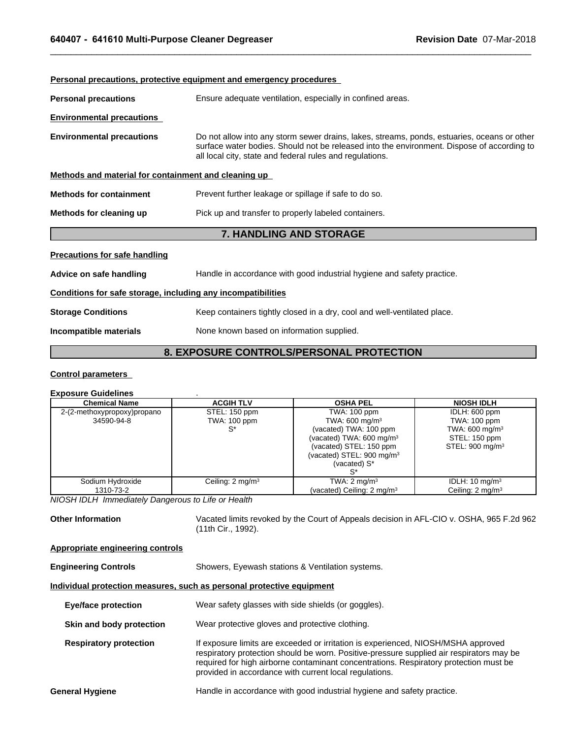|                                                                     | <b>Personal precautions, protective equipment and emergency procedures</b>                                                                                                                                                                            |  |  |
|---------------------------------------------------------------------|-------------------------------------------------------------------------------------------------------------------------------------------------------------------------------------------------------------------------------------------------------|--|--|
| <b>Personal precautions</b>                                         | Ensure adequate ventilation, especially in confined areas.                                                                                                                                                                                            |  |  |
| <b>Environmental precautions</b>                                    |                                                                                                                                                                                                                                                       |  |  |
| <b>Environmental precautions</b>                                    | Do not allow into any storm sewer drains, lakes, streams, ponds, estuaries, oceans or other<br>surface water bodies. Should not be released into the environment. Dispose of according to<br>all local city, state and federal rules and regulations. |  |  |
| Methods and material for containment and cleaning up                |                                                                                                                                                                                                                                                       |  |  |
| <b>Methods for containment</b>                                      | Prevent further leakage or spillage if safe to do so.                                                                                                                                                                                                 |  |  |
| Methods for cleaning up                                             | Pick up and transfer to properly labeled containers.                                                                                                                                                                                                  |  |  |
|                                                                     | 7. HANDLING AND STORAGE                                                                                                                                                                                                                               |  |  |
| <b>Precautions for safe handling</b>                                |                                                                                                                                                                                                                                                       |  |  |
| Advice on safe handling                                             | Handle in accordance with good industrial hygiene and safety practice.                                                                                                                                                                                |  |  |
| Conditions for safe storage, including any incompatibilities        |                                                                                                                                                                                                                                                       |  |  |
| <b>Storage Conditions</b>                                           | Keep containers tightly closed in a dry, cool and well-ventilated place.                                                                                                                                                                              |  |  |
| Incompatible materials<br>None known based on information supplied. |                                                                                                                                                                                                                                                       |  |  |
|                                                                     | 8. EXPOSURE CONTROLS/PERSONAL PROTECTION                                                                                                                                                                                                              |  |  |
| <b>Control parameters</b>                                           |                                                                                                                                                                                                                                                       |  |  |
| Evnosure Guidelines                                                 |                                                                                                                                                                                                                                                       |  |  |

 $\_$  ,  $\_$  ,  $\_$  ,  $\_$  ,  $\_$  ,  $\_$  ,  $\_$  ,  $\_$  ,  $\_$  ,  $\_$  ,  $\_$  ,  $\_$  ,  $\_$  ,  $\_$  ,  $\_$  ,  $\_$  ,  $\_$  ,  $\_$  ,  $\_$  ,  $\_$  ,  $\_$  ,  $\_$  ,  $\_$  ,  $\_$  ,  $\_$  ,  $\_$  ,  $\_$  ,  $\_$  ,  $\_$  ,  $\_$  ,  $\_$  ,  $\_$  ,  $\_$  ,  $\_$  ,  $\_$  ,  $\_$  ,  $\_$  ,

# **Control parameters**

# **Exposure Guidelines** .

| <b>Chemical Name</b>        | <b>ACGIH TLV</b>            | <b>OSHA PEL</b>                                                                                                                                  | <b>NIOSH IDLH</b>                                                         |
|-----------------------------|-----------------------------|--------------------------------------------------------------------------------------------------------------------------------------------------|---------------------------------------------------------------------------|
| 2-(2-methoxypropoxy)propano | STEL: 150 ppm               | TWA: 100 ppm                                                                                                                                     | IDLH: 600 ppm                                                             |
| 34590-94-8                  | <b>TWA: 100 ppm</b>         | TWA: 600 mg/m <sup>3</sup>                                                                                                                       | TWA: 100 ppm                                                              |
|                             | S*                          | (vacated) TWA: 100 ppm<br>(vacated) TWA: $600 \text{ mg/m}^3$<br>(vacated) STEL: 150 ppm<br>(vacated) STEL: $900 \text{ mg/m}^3$<br>(vacated) S* | TWA: $600 \text{ mg/m}^3$<br>STEL: 150 ppm<br>STEL: 900 mg/m <sup>3</sup> |
| Sodium Hydroxide            | Ceiling: $2 \text{ mg/m}^3$ | TWA: $2 \text{ mg/m}^3$                                                                                                                          | IDLH: $10 \text{ mg/m}^3$                                                 |
| 1310-73-2                   |                             | (vacated) Ceiling: 2 mg/m <sup>3</sup>                                                                                                           | Ceiling: $2 \text{ mg/m}^3$                                               |

*NIOSH IDLH Immediately Dangerous to Life or Health*

**Other Information** Vacated limits revoked by the Court of Appeals decision in AFL-CIO v. OSHA, 965 F.2d 962 (11th Cir., 1992).

# **Appropriate engineering controls**

**Engineering Controls** Showers, Eyewash stations & Ventilation systems.

# **Individual protection measures, such as personal protective equipment**

| <b>Eye/face protection</b>    | Wear safety glasses with side shields (or goggles).                                                                                                                                                                                                                                                                              |  |
|-------------------------------|----------------------------------------------------------------------------------------------------------------------------------------------------------------------------------------------------------------------------------------------------------------------------------------------------------------------------------|--|
| Skin and body protection      | Wear protective gloves and protective clothing.                                                                                                                                                                                                                                                                                  |  |
| <b>Respiratory protection</b> | If exposure limits are exceeded or irritation is experienced, NIOSH/MSHA approved<br>respiratory protection should be worn. Positive-pressure supplied air respirators may be<br>required for high airborne contaminant concentrations. Respiratory protection must be<br>provided in accordance with current local regulations. |  |
| <b>General Hygiene</b>        | Handle in accordance with good industrial hygiene and safety practice.                                                                                                                                                                                                                                                           |  |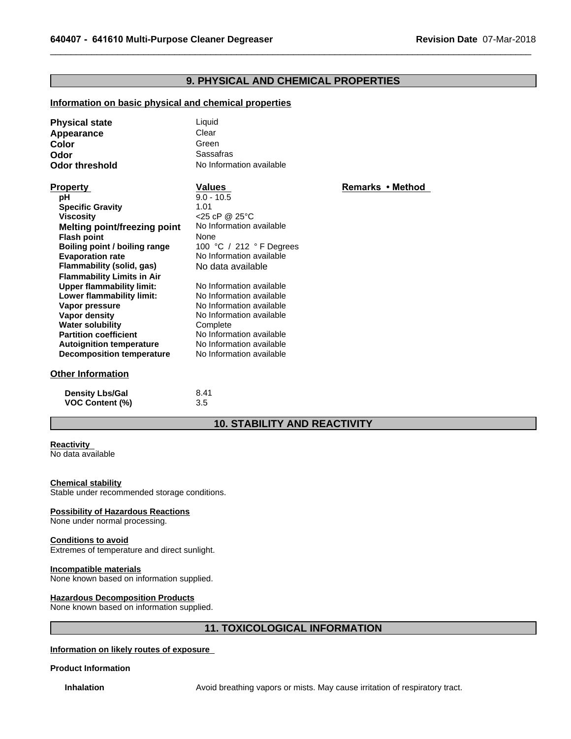# **2. Cleaner Degreaser Revision Date 07-Mar-2019**<br>**9. PHYSICAL AND CHEMICAL PROPERTIES**<br>and chemical properties

 $\_$  ,  $\_$  ,  $\_$  ,  $\_$  ,  $\_$  ,  $\_$  ,  $\_$  ,  $\_$  ,  $\_$  ,  $\_$  ,  $\_$  ,  $\_$  ,  $\_$  ,  $\_$  ,  $\_$  ,  $\_$  ,  $\_$  ,  $\_$  ,  $\_$  ,  $\_$  ,  $\_$  ,  $\_$  ,  $\_$  ,  $\_$  ,  $\_$  ,  $\_$  ,  $\_$  ,  $\_$  ,  $\_$  ,  $\_$  ,  $\_$  ,  $\_$  ,  $\_$  ,  $\_$  ,  $\_$  ,  $\_$  ,  $\_$  ,

# **Information on basic physical and chemical properties**

| <b>Physical state</b><br>Appearance<br>Color<br>Odor<br><b>Odor threshold</b>                                                                                                                                                                                                                                                                                                                                                                                                                                                     | Liquid<br>Clear<br>Green<br>Sassafras<br>No Information available                                                                                                                                                                                                                                                                                                                                    |                  |
|-----------------------------------------------------------------------------------------------------------------------------------------------------------------------------------------------------------------------------------------------------------------------------------------------------------------------------------------------------------------------------------------------------------------------------------------------------------------------------------------------------------------------------------|------------------------------------------------------------------------------------------------------------------------------------------------------------------------------------------------------------------------------------------------------------------------------------------------------------------------------------------------------------------------------------------------------|------------------|
| <b>Property</b><br>pH<br><b>Specific Gravity</b><br><b>Viscosity</b><br><b>Melting point/freezing point</b><br><b>Flash point</b><br>Boiling point / boiling range<br><b>Evaporation rate</b><br>Flammability (solid, gas)<br><b>Flammability Limits in Air</b><br><b>Upper flammability limit:</b><br>Lower flammability limit:<br>Vapor pressure<br>Vapor density<br><b>Water solubility</b><br><b>Partition coefficient</b><br><b>Autoignition temperature</b><br><b>Decomposition temperature</b><br><b>Other Information</b> | <b>Values</b><br>$9.0 - 10.5$<br>1.01<br>$<$ 25 cP @ 25 $\degree$ C<br>No Information available<br>None<br>100 °C / 212 ° F Degrees<br>No Information available<br>No data available<br>No Information available<br>No Information available<br>No Information available<br>No Information available<br>Complete<br>No Information available<br>No Information available<br>No Information available | Remarks • Method |
| <b>Density Lbs/Gal</b><br><b>VOC Content (%)</b>                                                                                                                                                                                                                                                                                                                                                                                                                                                                                  | 8.41<br>3.5                                                                                                                                                                                                                                                                                                                                                                                          |                  |
|                                                                                                                                                                                                                                                                                                                                                                                                                                                                                                                                   | <b>10. STABILITY AND REACTIVITY</b>                                                                                                                                                                                                                                                                                                                                                                  |                  |
| Reactivity<br>No data available                                                                                                                                                                                                                                                                                                                                                                                                                                                                                                   |                                                                                                                                                                                                                                                                                                                                                                                                      |                  |

# **Other Information**

| <b>Density Lbs/Gal</b> | 8.41 |
|------------------------|------|
| <b>VOC Content (%)</b> | 3.5  |

# **Reactivity**

# **Chemical stability**

Stable under recommended storage conditions.

# **Possibility of Hazardous Reactions**

None under normal processing.

# **Conditions to avoid**

Extremes of temperature and direct sunlight.

# **Incompatible materials**

None known based on information supplied.

# **Hazardous Decomposition Products**

None known based on information supplied.

# itions.<br><sup>hd.</sup><br><sup>11. TOXICOLOGICAL INFORMATION<br>e</sup>

**Information on likely routes of exposure** 

# **Product Information**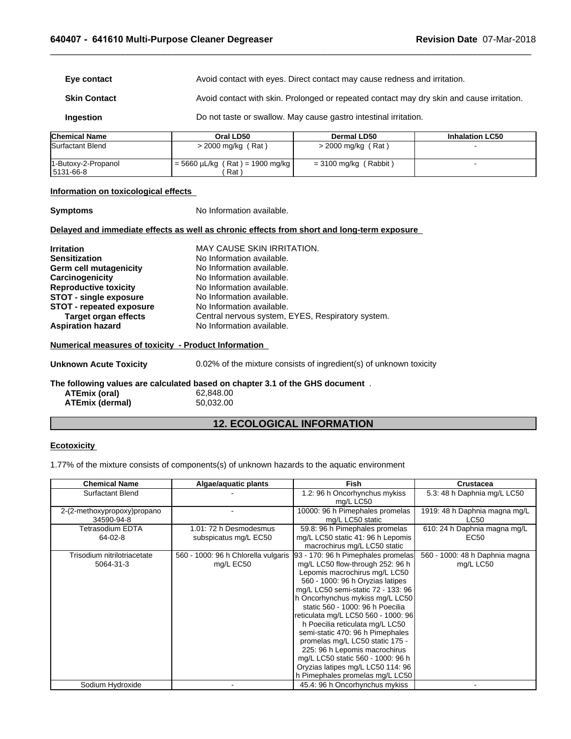$\_$  ,  $\_$  ,  $\_$  ,  $\_$  ,  $\_$  ,  $\_$  ,  $\_$  ,  $\_$  ,  $\_$  ,  $\_$  ,  $\_$  ,  $\_$  ,  $\_$  ,  $\_$  ,  $\_$  ,  $\_$  ,  $\_$  ,  $\_$  ,  $\_$  ,  $\_$  ,  $\_$  ,  $\_$  ,  $\_$  ,  $\_$  ,  $\_$  ,  $\_$  ,  $\_$  ,  $\_$  ,  $\_$  ,  $\_$  ,  $\_$  ,  $\_$  ,  $\_$  ,  $\_$  ,  $\_$  ,  $\_$  ,  $\_$  ,

|                          | 640407 - 641610 Multi-Purpose Cleaner Degreaser                  | <b>Revision Date 07-Mar-2018</b>                                                          |                        |  |
|--------------------------|------------------------------------------------------------------|-------------------------------------------------------------------------------------------|------------------------|--|
| Eye contact              |                                                                  | Avoid contact with eyes. Direct contact may cause redness and irritation.                 |                        |  |
| <b>Skin Contact</b>      |                                                                  | Avoid contact with skin. Prolonged or repeated contact may dry skin and cause irritation. |                        |  |
| Ingestion                | Do not taste or swallow. May cause gastro intestinal irritation. |                                                                                           |                        |  |
| <b>Chemical Name</b>     | Oral LD50                                                        | <b>Dermal LD50</b>                                                                        | <b>Inhalation LC50</b> |  |
| <b>ISurfactant Blend</b> | $>$ 2000 mg/kg (Rat)                                             | $>$ 2000 mg/kg (Rat)                                                                      |                        |  |
| 1-Butoxy-2-Propanol      | $= 5660 \mu L/kg$ (Rat) = 1900 mg/kg                             | $= 3100$ mg/kg (Rabbit)                                                                   |                        |  |

# **Information on toxicological effects**

**Symptoms** No Information available. **Delayed and immediate effects as well as chronic effects from short and long-term exposure Irritation** MAY CAUSE SKIN IRRITATION. **Sensitization** No Information available. **Germ cell mutagenicity** No Information available. **Carcinogenicity Carcinogenicity** No Information available.<br> **Reproductive toxicity** No Information available. **Reproductive toxicity** No Information available.<br> **STOT - single exposure** No Information available. **STOT - single exposure** No Information available.<br>**STOT - repeated exposure** No Information available. **STOT - repeated exposure Target organ effects** Central nervous system, EYES, Respiratory system. Aspiration hazard<br>
No Information available. **Numerical measures of toxicity - Product Information 12. ECOLOGICAL INFORMATION**

**Unknown Acute Toxicity** 0.02% of the mixture consists of ingredient(s) of unknown toxicity

**The following values are calculated based on chapter 3.1 of the GHS document** . **ATEmix (oral)** 62,848.00<br>**ATEmix (dermal)** 60,032.00 **ATEmix (dermal)** 

# **Ecotoxicity**

1.77% of the mixture consists of components(s) of unknown hazards to the aquatic environment

| <b>Chemical Name</b>                      | Algae/aquatic plants                             | <b>Fish</b>                                                                                                                                                                                                                                                                                                                                                                                                                                                                                                                                             | Crustacea                                    |
|-------------------------------------------|--------------------------------------------------|---------------------------------------------------------------------------------------------------------------------------------------------------------------------------------------------------------------------------------------------------------------------------------------------------------------------------------------------------------------------------------------------------------------------------------------------------------------------------------------------------------------------------------------------------------|----------------------------------------------|
| Surfactant Blend                          |                                                  | 1.2: 96 h Oncorhynchus mykiss<br>mg/L LC50                                                                                                                                                                                                                                                                                                                                                                                                                                                                                                              | 5.3: 48 h Daphnia mg/L LC50                  |
| 2-(2-methoxypropoxy)propano<br>34590-94-8 |                                                  | 10000: 96 h Pimephales promelas<br>mg/L LC50 static                                                                                                                                                                                                                                                                                                                                                                                                                                                                                                     | 1919: 48 h Daphnia magna mg/L<br><b>LC50</b> |
| <b>Tetrasodium EDTA</b><br>64-02-8        | 1.01: 72 h Desmodesmus<br>subspicatus mg/L EC50  | 59.8: 96 h Pimephales promelas<br>mg/L LC50 static 41: 96 h Lepomis<br>macrochirus mg/L LC50 static                                                                                                                                                                                                                                                                                                                                                                                                                                                     | 610: 24 h Daphnia magna mg/L<br>EC50         |
| Trisodium nitrilotriacetate<br>5064-31-3  | 560 - 1000: 96 h Chlorella vulgaris<br>mg/L EC50 | 93 - 170: 96 h Pimephales promelas<br>mg/L LC50 flow-through 252: 96 h<br>Lepomis macrochirus mg/L LC50<br>560 - 1000: 96 h Oryzias latipes<br>mg/L LC50 semi-static 72 - 133: 96<br>h Oncorhynchus mykiss mg/L LC50<br>static 560 - 1000: 96 h Poecilia<br>reticulata mg/L LC50 560 - 1000: 96<br>h Poecilia reticulata mg/L LC50<br>semi-static 470: 96 h Pimephales<br>promelas mg/L LC50 static 175 -<br>225: 96 h Lepomis macrochirus<br>mg/L LC50 static 560 - 1000: 96 h<br>Oryzias latipes mg/L LC50 114: 96<br>h Pimephales promelas mg/L LC50 | 560 - 1000: 48 h Daphnia magna<br>mg/L LC50  |
| Sodium Hydroxide                          |                                                  | 45.4: 96 h Oncorhynchus mykiss                                                                                                                                                                                                                                                                                                                                                                                                                                                                                                                          |                                              |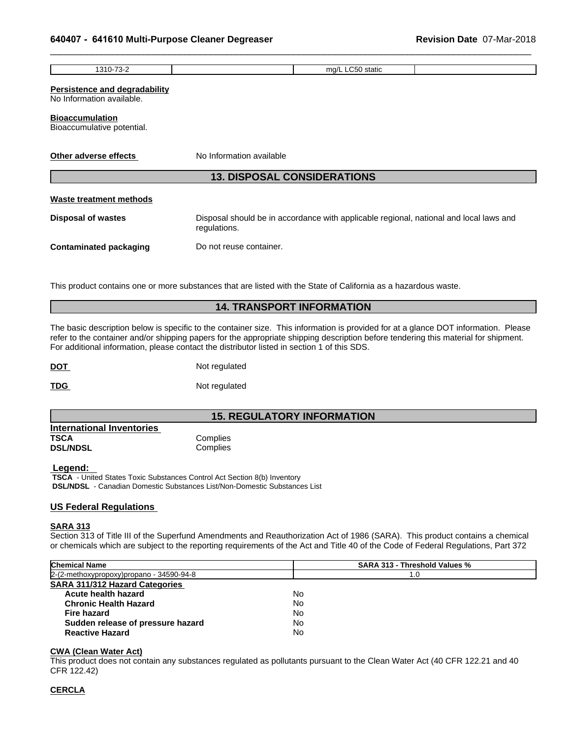| 640407 - 641610 Multi-Purpose Cleaner Degreaser                   |                                                                                       | <b>Revision Date 07-Mar-2018</b> |
|-------------------------------------------------------------------|---------------------------------------------------------------------------------------|----------------------------------|
| 1310-73-2                                                         | mg/L LC50 static                                                                      |                                  |
| <b>Persistence and degradability</b><br>No Information available. |                                                                                       |                                  |
| <b>Bioaccumulation</b><br>Bioaccumulative potential.              |                                                                                       |                                  |
| Other adverse effects                                             | No Information available                                                              |                                  |
|                                                                   | <b>13. DISPOSAL CONSIDERATIONS</b>                                                    |                                  |
| <b>Waste treatment methods</b>                                    |                                                                                       |                                  |
| Disnosal of wastes                                                | Disposal should be in accordance with applicable regional national and local laws and |                                  |

 $\_$  ,  $\_$  ,  $\_$  ,  $\_$  ,  $\_$  ,  $\_$  ,  $\_$  ,  $\_$  ,  $\_$  ,  $\_$  ,  $\_$  ,  $\_$  ,  $\_$  ,  $\_$  ,  $\_$  ,  $\_$  ,  $\_$  ,  $\_$  ,  $\_$  ,  $\_$  ,  $\_$  ,  $\_$  ,  $\_$  ,  $\_$  ,  $\_$  ,  $\_$  ,  $\_$  ,  $\_$  ,  $\_$  ,  $\_$  ,  $\_$  ,  $\_$  ,  $\_$  ,  $\_$  ,  $\_$  ,  $\_$  ,  $\_$  ,

# **Persistence and degradability**

# **Bioaccumulation**

# **Waste treatment methods**

| Other adverse effects              | No Information available                                                                                                                                                                                                                                                                                                                                                 |  |  |  |  |  |
|------------------------------------|--------------------------------------------------------------------------------------------------------------------------------------------------------------------------------------------------------------------------------------------------------------------------------------------------------------------------------------------------------------------------|--|--|--|--|--|
| <b>13. DISPOSAL CONSIDERATIONS</b> |                                                                                                                                                                                                                                                                                                                                                                          |  |  |  |  |  |
| <b>Waste treatment methods</b>     |                                                                                                                                                                                                                                                                                                                                                                          |  |  |  |  |  |
| <b>Disposal of wastes</b>          | Disposal should be in accordance with applicable regional, national and local laws and<br>regulations.                                                                                                                                                                                                                                                                   |  |  |  |  |  |
| <b>Contaminated packaging</b>      | Do not reuse container.                                                                                                                                                                                                                                                                                                                                                  |  |  |  |  |  |
|                                    | This product contains one or more substances that are listed with the State of California as a hazardous waste.                                                                                                                                                                                                                                                          |  |  |  |  |  |
|                                    | <b>14. TRANSPORT INFORMATION</b>                                                                                                                                                                                                                                                                                                                                         |  |  |  |  |  |
|                                    | The basic description below is specific to the container size. This information is provided for at a glance DOT information. Please<br>refer to the container and/or shipping papers for the appropriate shipping description before tendering this material for shipment.<br>Eor additional information, please contact the distributor listed in section 1 of this SDS |  |  |  |  |  |

The basic description below is specific to the container size. This information is provided for at a glance DOT information. Please refer to the container and/or shipping papers for the appropriate shipping description before tendering this material for shipment. For additional information, please contact the distributor listed in section 1 of this SDS. **14. TRANSPORT INFORMATION**<br> **14. TRANSPORT INFORMATION**<br> **26. experiment Size.** This information is provided for at a glance DOT information. Ple<br>
st for the appropriate shipping description before tendering this material

**DOT** Not regulated

**TDG** Not regulated

| <b>International Inventories</b> |          |  |
|----------------------------------|----------|--|
| TSCA                             | Complies |  |
| <b>DSL/NDSL</b>                  | Complies |  |

# **Legend:**

 **TSCA** - United States Toxic Substances Control Act Section 8(b) Inventory  **DSL/NDSL** - Canadian Domestic Substances List/Non-Domestic Substances List

# **US Federal Regulations**

# **SARA 313**

Section 313 of Title III of the Superfund Amendments and Reauthorization Act of 1986 (SARA). This product contains a chemical or chemicals which are subject to the reporting requirements of the Act and Title 40 of the Code of Federal Regulations, Part 372

| <b>Chemical Name</b>                     | SARA 313 - Threshold Values % |  |
|------------------------------------------|-------------------------------|--|
| 2-(2-methoxypropoxy)propano - 34590-94-8 | 1.0                           |  |
| <b>SARA 311/312 Hazard Categories</b>    |                               |  |
| Acute health hazard                      | No                            |  |
| <b>Chronic Health Hazard</b>             | No                            |  |
| Fire hazard                              | No                            |  |
| Sudden release of pressure hazard        | No                            |  |
| <b>Reactive Hazard</b>                   | No                            |  |

# **CWA (Clean Water Act)**

This product does not contain any substances regulated as pollutants pursuant to the Clean Water Act (40 CFR 122.21 and 40 CFR 122.42)

# **CERCLA**